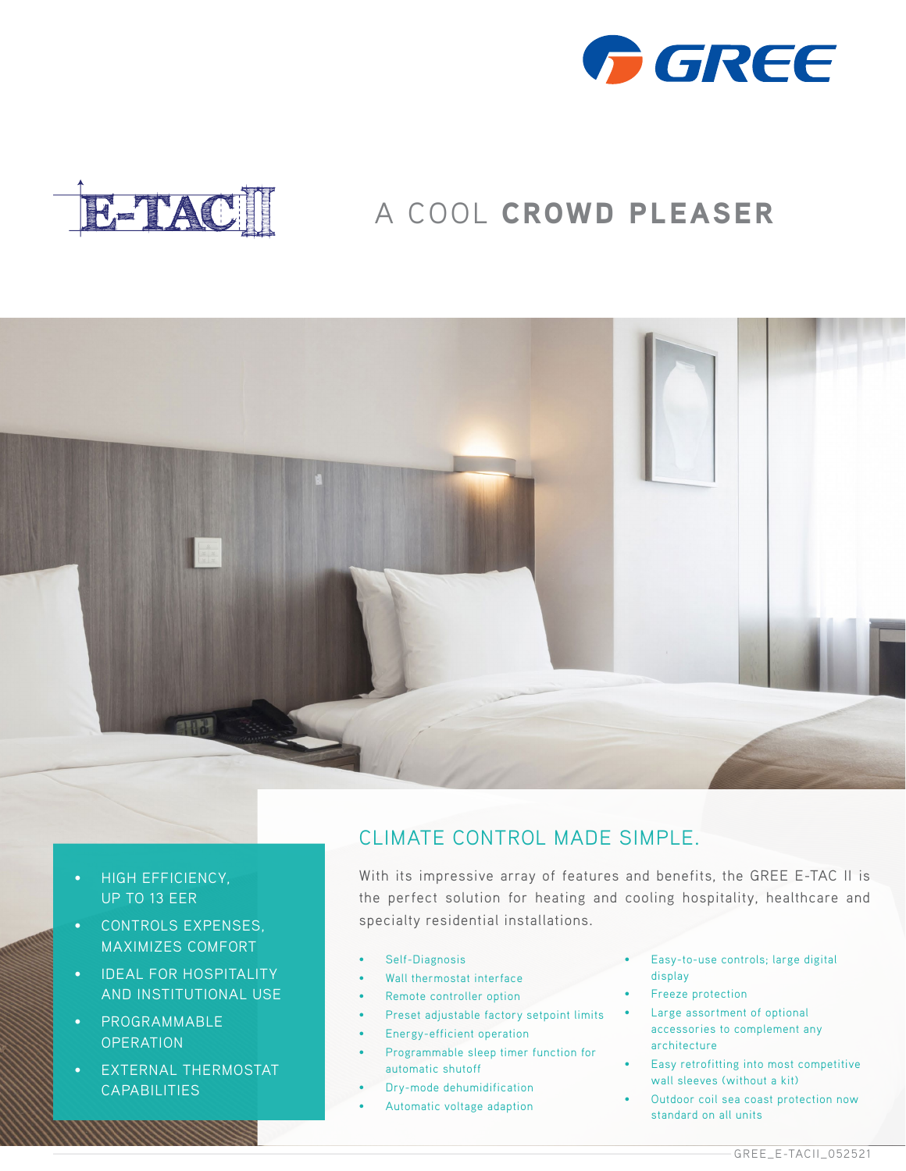



## A COOL CROWD PLEASER



- **HIGH EFFICIENCY,** UP TO 13 EER
- CONTROLS EXPENSES, MAXIMIZES COMFORT
- IDEAL FOR HOSPITALITY AND INSTITUTIONAL USE
- PROGRAMMABLE **OPERATION**
- EXTERNAL THERMOSTAT **CAPABILITIES**

## CLIMATE CONTROL MADE SIMPLE.

With its impressive array of features and benefits, the GREE E-TAC II is the perfect solution for heating and cooling hospitality, healthcare and specialty residential installations.

- Self-Diagnosis
- Wall thermostat interface
- Remote controller option
- Preset adjustable factory setpoint limits
- Energy-efficient operation
- Programmable sleep timer function for automatic shutoff
- Dry-mode dehumidification
- Automatic voltage adaption
- Easy-to-use controls; large digital display
- Freeze protection
- Large assortment of optional accessories to complement any architecture
- Easy retrofitting into most competitive wall sleeves (without a kit)
- Outdoor coil sea coast protection now standard on all units